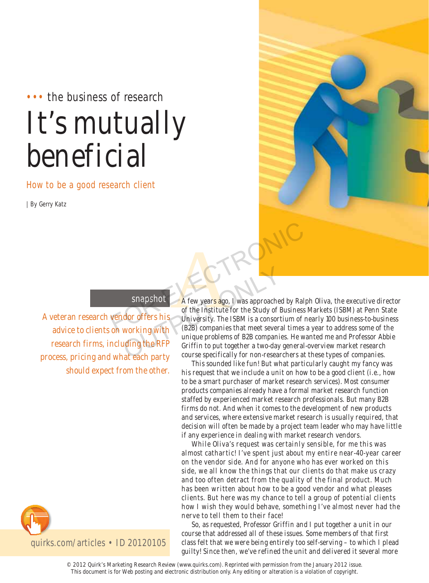# ••• the business of research It's mutually beneficial

How to be a good research client

| By Gerry Katz



# snapshot

A veteran research vendor offers his advice to clients on working with research firms, including the RFP process, pricing and what each party should expect from the other.



of the Institute for the Study of Business Markets (ISBM) at Penn State University. The ISBM is a consortium of nearly 100 business-to-business (B2B) companies that meet several times a year to address some of the unique problems of B2B companies. He wanted me and Professor Abbie Griffin to put together a two-day general-overview market research course specifically for non-researchers at these types of companies. Snapshot<br>
A few years ago, I was approached by Ralph (<br>
of the Institute for the Study of Business Ma<br>
on working with (B2B) companies that meet several times a ye Snapshot<br>
A few years ago, I was approached<br>
of the Institute for the Study of E<br>
University. The ISBM is a consort<br>
working with<br>
(B2B) companies that meet severa<br>
unique problems of B2B companie<br>
unique problems of B2B c

This sounded like fun! But what particularly caught my fancy was his request that we include a unit on how to be a good client (i.e., how to be a smart purchaser of market research services). Most consumer products companies already have a formal market research function staffed by experienced market research professionals. But many B2B firms do not. And when it comes to the development of new products and services, where extensive market research is usually required, that decision will often be made by a project team leader who may have little if any experience in dealing with market research vendors.

While Oliva's request was certainly sensible, for me this was almost cathartic! I've spent just about my entire near-40-year career on the vendor side. And for anyone who has ever worked on this side, we all know the things that our clients do that make us crazy and too often detract from the quality of the final product. Much has been written about how to be a good vendor and what pleases clients. But here was my chance to tell a group of potential clients how I wish they would behave, something I've almost never had the nerve to tell them to their face!

So, as requested, Professor Griffin and I put together a unit in our course that addressed all of these issues. Some members of that first class felt that we were being entirely too self-serving – to which I plead guilty! Since then, we've refined the unit and delivered it several more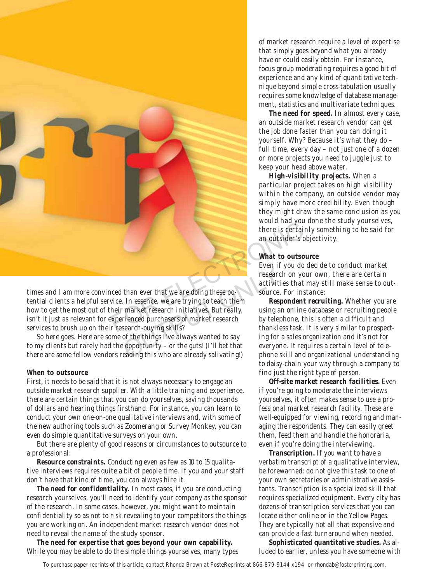

times and I am more convinced than ever that we are doing these potential clients a helpful service. In essence, we are trying to teach them how to get the most out of their market research initiatives. But really, isn't it just as relevant for experienced purchasers of market research services to brush up on their research-buying skills? Even in<br>
researc<br>
than ever that we are doing these po-<br>
. In essence, we are trying to teach them<br>
renced purchasers of market research<br>
renced purchasers of market research<br>
search-buying skills?<br>
of the things I've alwa

So here goes. Here are some of the things I've always wanted to say to my clients but rarely had the opportunity – or the guts! (I'll bet that there are some fellow vendors reading this who are already salivating!)

#### **When to outsource**

First, it needs to be said that it is not always necessary to engage an outside market research supplier. With a little training and experience, there are certain things that you can do yourselves, saving thousands of dollars and hearing things firsthand. For instance, you can learn to conduct your own one-on-one qualitative interviews and, with some of the new authoring tools such as Zoomerang or Survey Monkey, you can even do simple quantitative surveys on your own.

But there are plenty of good reasons or circumstances to outsource to a professional:

**Resource constraints.** Conducting even as few as 10 to 15 qualitative interviews requires quite a bit of people time. If you and your staff don't have that kind of time, you can always hire it.

**The need for confidentiality.** In most cases, if you are conducting research yourselves, you'll need to identify your company as the sponsor of the research. In some cases, however, you might want to maintain confidentiality so as not to risk revealing to your competitors the things you are working on. An independent market research vendor does not need to reveal the name of the study sponsor.

**The need for expertise that goes beyond your own capability.** While you may be able to do the simple things yourselves, many types of market research require a level of expertise that simply goes beyond what you already have or could easily obtain. For instance, focus group moderating requires a good bit of experience and any kind of quantitative technique beyond simple cross-tabulation usually requires some knowledge of database management, statistics and multivariate techniques.

**The need for speed.** In almost every case, an outside market research vendor can get the job done faster than you can doing it yourself. Why? Because it's what they do – full time, every day – not just one of a dozen or more projects you need to juggle just to keep your head above water.

**High-visibility projects.** When a particular project takes on high visibility within the company, an outside vendor may simply have more credibility. Even though they might draw the same conclusion as you would had you done the study yourselves, there is certainly something to be said for an outsider's objectivity.

#### **What to outsource**

Even if you do decide to conduct market research on your own, there are certain activities that may still make sense to outsource. For instance:

**Respondent recruiting.** Whether you are using an online database or recruiting people by telephone, this is often a difficult and thankless task. It is very similar to prospecting for a sales organization and it's not for everyone. It requires a certain level of telephone skill and organizational understanding to daisy-chain your way through a company to find just the right type of person.

**Off-site market research facilities.** Even if you're going to moderate the interviews yourselves, it often makes sense to use a professional market research facility. These are well-equipped for viewing, recording and managing the respondents. They can easily greet them, feed them and handle the honoraria, even if you're doing the interviewing.

**Transcription.** If you want to have a verbatim transcript of a qualitative interview, be forewarned: do not give this task to one of your own secretaries or administrative assistants. Transcription is a specialized skill that requires specialized equipment. Every city has dozens of transcription services that you can locate either online or in the Yellow Pages. They are typically not all that expensive and can provide a fast turnaround when needed.

**Sophisticated quantitative studies.** As alluded to earlier, unless you have someone with

To purchase paper reprints of this article, contact Rhonda Brown at FosteReprints at 866-879-9144 x194 or rhondab@fosterprinting.com.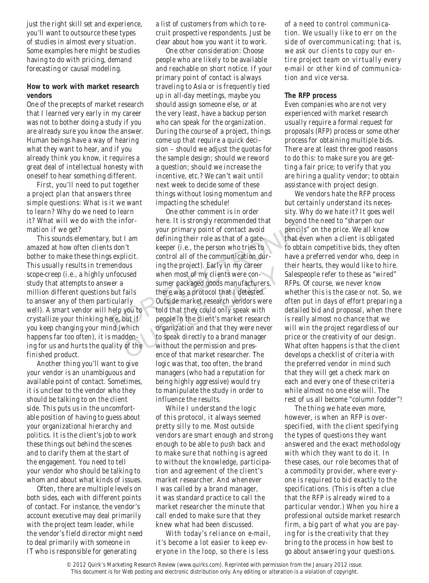just the right skill set and experience, you'll want to outsource these types of studies in almost every situation. Some examples here might be studies having to do with pricing, demand forecasting or causal modeling.

## **How to work with market research vendors**

One of the precepts of market research that I learned very early in my career was not to bother doing a study if you are already sure you know the answer. Human beings have a way of hearing what they want to hear, and if you already think you know, it requires a great deal of intellectual honesty with oneself to hear something different.

First, you'll need to put together a project plan that answers three simple questions: What is it we want to learn? Why do we need to learn it? What will we do with the information if we get?

This sounds elementary, but I am amazed at how often clients don't bother to make these things explicit. This usually results in tremendous scope-creep (i.e., a highly unfocused study that attempts to answer a million different questions but fails to answer any of them particularly well). A smart vendor will help you to crystallize your thinking here, but if you keep changing your mind (which happens far too often), it is maddening for us and hurts the quality of the finished product.

Another thing you'll want to give your vendor is an unambiguous and available point of contact. Sometimes, it is unclear to the vendor who they should be talking to on the client side. This puts us in the uncomfortable position of having to guess about your organizational hierarchy and politics. It is the client's job to work these things out behind the scenes and to clarify them at the start of the engagement. You need to tell your vendor who should be talking to whom and about what kinds of issues.

Often, there are multiple levels on both sides, each with different points of contact. For instance, the vendor's account executive may deal primarily with the project team leader, while the vendor's field director might need to deal primarily with someone in IT who is responsible for generating

a list of customers from which to recruit prospective respondents. Just be clear about how you want it to work.

One other consideration: Choose people who are likely to be available and reachable on short notice. If your primary point of contact is always traveling to Asia or is frequently tied up in all-day meetings, maybe you should assign someone else, or at the very least, have a backup person who can speak for the organization. During the course of a project, things come up that require a quick decision – should we adjust the quotas for the sample design; should we reword a question; should we increase the incentive, etc.? We can't wait until next week to decide some of these things without losing momentum and impacting the schedule!

One other comment is in order here. It is strongly recommended that your primary point of contact avoid defining their role as that of a gatekeeper (i.e., the person who tries to control all of the communication during the project). Early in my career when most of my clients were consumer packaged goods manufacturers, there was a protocol that I detested. Outside market research vendors were told that they could only speak with people in the client's market research organization and that they were never to speak directly to a brand manager without the permission and presence of that market researcher. The logic was that, too often, the brand managers (who had a reputation for being highly aggressive) would try to manipulate the study in order to influence the results. For the Hindi-<br>
your primary point of contact avoid<br>
your primary point of contact avoid<br>
sepercitic defining their role as that of a gate-<br>
sepicit.<br>
control all of the communication dur-<br>
have a pre-<br>
endous<br>
ing the pro Figure project). Early in my career<br>when most of my clients were con-<br>sumer packaged goods manufacturers,<br>fails<br>there was a protocol that I detested.<br>arly<br>Outside market research vendors were<br>you to<br>told that they could on

> While I understand the logic of this protocol, it always seemed pretty silly to me. Most outside vendors are smart enough and strong enough to be able to push back and to make sure that nothing is agreed to without the knowledge, participation and agreement of the client's market researcher. And whenever I was called by a brand manager, it was standard practice to call the market researcher the minute that call ended to make sure that they knew what had been discussed.

With today's reliance on e-mail, it's become a lot easier to keep everyone in the loop, so there is less

of a need to control communication. We usually like to err on the side of overcommunicating; that is, we ask our clients to copy our entire project team on virtually every e-mail or other kind of communication and vice versa.

### **The RFP process**

Even companies who are not very experienced with market research usually require a formal request for proposals (RFP) process or some other process for obtaining multiple bids. There are at least three good reasons to do this: to make sure you are getting a fair price; to verify that you are hiring a quality vendor; to obtain assistance with project design.

We vendors hate the RFP process but certainly understand its necessity. Why do we hate it? It goes well beyond the need to "sharpen our pencils" on the price. We all know that even when a client is obligated to obtain competitive bids, they often have a preferred vendor who, deep in their hearts, they would like to hire. Salespeople refer to these as "wired" RFPs. Of course, we never know whether this is the case or not. So, we often put in days of effort preparing a detailed bid and proposal, when there is really almost no chance that we will win the project regardless of our price or the creativity of our design. What often happens is that the client develops a checklist of criteria with the preferred vendor in mind such that they will get a check mark on each and every one of these criteria while almost no one else will. The rest of us all become "column fodder"!

The thing we hate even more, however, is when an RFP is overspecified, with the client specifying the types of questions they want answered and the exact methodology with which they want to do it. In these cases, our role becomes that of a commodity provider, where everyone is required to bid exactly to the specifications. (This is often a clue that the RFP is already wired to a particular vendor.) When you hire a professional outside market research firm, a big part of what you are paying for is the creativity that they bring to the process in how best to go about answering your questions.

<sup>© 2012</sup> Quirk's Marketing Research Review (www.quirks.com). Reprinted with permission from the January 2012 issue. This document is for Web posting and electronic distribution only. Any editing or alteration is a violation of copyright.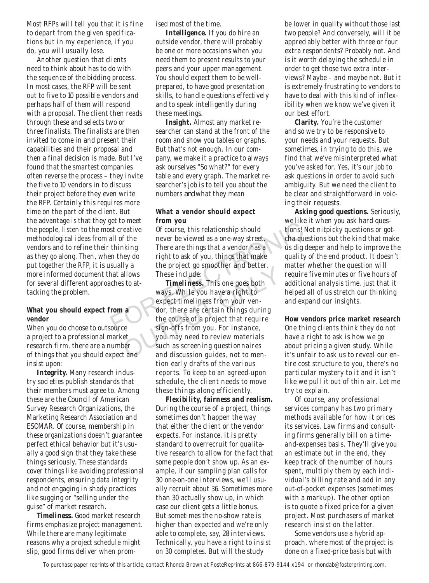Most RFPs will tell you that it is fine to depart from the given specifications but in my experience, if you do, you will usually lose.

Another question that clients need to think about has to do with the sequence of the bidding process. In most cases, the RFP will be sent out to five to 10 possible vendors and perhaps half of them will respond with a proposal. The client then reads through these and selects two or three finalists. The finalists are then invited to come in and present their capabilities and their proposal and then a final decision is made. But I've found that the smartest companies often reverse the process – they invite the five to 10 vendors in to discuss their project before they even write the RFP. Certainly this requires more time on the part of the client. But the advantage is that they get to meet the people, listen to the most creative methodological ideas from all of the vendors and to refine their thinking as they go along. Then, when they do put together the RFP, it is usually a more informed document that allows for several different approaches to attacking the problem.

#### **What you should expect from a vendor**

When you do choose to outsource a project to a professional market research firm, there are a number of things that you should expect and insist upon:

**Integrity.** Many research industry societies publish standards that their members must agree to. Among these are the Council of American Survey Research Organizations, the Marketing Research Association and ESOMAR. Of course, membership in these organizations doesn't guarantee perfect ethical behavior but it's usually a good sign that they take these things seriously. These standards cover things like avoiding professional respondents, ensuring data integrity and not engaging in shady practices like sugging or "selling under the guise" of market research.

**Timeliness.** Good market research firms emphasize project management. While there are many legitimate reasons why a project schedule might slip, good firms deliver when promised most of the time.

**Intelligence.** If you do hire an outside vendor, there will probably be one or more occasions when you need them to present results to your peers and your upper management. You should expect them to be wellprepared, to have good presentation skills, to handle questions effectively and to speak intelligently during these meetings.

**Insight.** Almost any market researcher can stand at the front of the room and show you tables or graphs. But that's not enough. In our company, we make it a practice to always ask ourselves "So what?" for every table and every graph. The market researcher's job is to tell you about the numbers *and* what they mean

### **What a vendor should expect from you**

Of course, this relationship should never be viewed as a one-way street. There are things that a vendor has a right to ask of you, things that make the project go smoother and better. These include:

**Timeliness.** This one goes both ways. While you have a right to expect timeliness from your vendor, there are certain things during the course of a project that require sign-offs from you. For instance, you may need to review materials such as screening questionnaires and discussion guides, not to mention early drafts of the various reports. To keep to an agreed-upon schedule, the client needs to move these things along efficiently. We like to meet<br>
st creative to fourse, this relationship should<br>
tions! Not<br>
thinking There are things that a vendor has a<br>
oright to ask of you, things that make<br>
start and the project of the project of the project of th These include:<br>
Solid and better.<br>
Solid and better.<br>
Solid and better.<br>
Solid and the speect timeliness from your ven-<br>
and the course of a project that require<br>
sign-offs from you. For instance,<br>
et sign-offs from you. F

> **Flexibility, fairness and realism.**  During the course of a project, things sometimes don't happen the way that either the client or the vendor expects. For instance, it is pretty standard to overrecruit for qualitative research to allow for the fact that some people don't show up. As an example, if our sampling plan calls for 30 one-on-one interviews, we'll usually recruit about 36. Sometimes more than 30 actually show up, in which case our client gets a little bonus. But sometimes the no-show rate is higher than expected and we're only able to complete, say, 28 interviews. Technically, you have a right to insist on 30 completes. But will the study

be lower in quality without those last two people? And conversely, will it be appreciably better with three or four extra respondents? Probably not. And is it worth delaying the schedule in order to get those two extra interviews? Maybe – and maybe not. But it is extremely frustrating to vendors to have to deal with this kind of inflexibility when we know we've given it our best effort.

**Clarity.** You're the customer and so we try to be responsive to your needs and your requests. But sometimes, in trying to do this, we find that we've misinterpreted what you've asked for. Yes, it's our job to ask questions in order to avoid such ambiguity. But we need the client to be clear and straightforward in voicing their requests.

**Asking good questions.** Seriously, we like it when you ask hard questions! Not nitpicky questions or gotcha questions but the kind that make us dig deeper and help to improve the quality of the end product. It doesn't matter whether the question will require five minutes or five hours of additional analysis time, just that it helped all of us stretch our thinking and expand our insights.

**How vendors price market research** One thing clients think they do not have a right to ask is how we go about pricing a given study. While it's unfair to ask us to reveal our entire cost structure to you, there's no particular mystery to it and it isn't like we pull it out of thin air. Let me try to explain.

Of course, any professional services company has two primary methods available for how it prices its services. Law firms and consulting firms generally bill on a timeand-expenses basis. They'll give you an estimate but in the end, they keep track of the number of hours spent, multiply them by each individual's billing rate and add in any out-of-pocket expenses (sometimes with a markup). The other option is to quote a fixed price for a given project. Most purchasers of market research insist on the latter.

Some vendors use a hybrid approach, where most of the project is done on a fixed-price basis but with